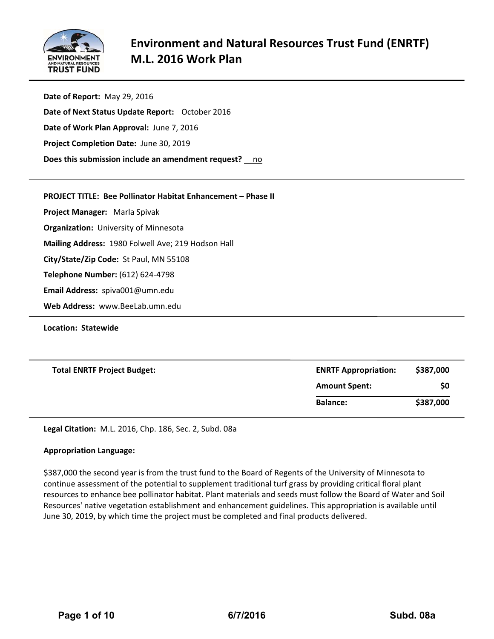

**Date of Report:** May 29, 2016 **Date of Next Status Update Report:** October 2016 **Date of Work Plan Approval:** June 7, 2016 **Project Completion Date:** June 30, 2019 **Does this submission include an amendment request?** \_\_no

**PROJECT TITLE: Bee Pollinator Habitat Enhancement – Phase II**

**Project Manager:**  Marla Spivak

**Organization:** University of Minnesota

**Mailing Address:** 1980 Folwell Ave; 219 Hodson Hall

**City/State/Zip Code:** St Paul, MN 55108

**Telephone Number:** (612) 624‐4798

**Email Address:** spiva001@umn.edu

**Web Address:** www.BeeLab.umn.edu

**Location: Statewide**

| <b>ENRTF Appropriation:</b> | \$387,000 |
|-----------------------------|-----------|
| <b>Amount Spent:</b>        | \$0       |
| <b>Balance:</b>             | \$387,000 |
|                             |           |

**Legal Citation:** M.L. 2016, Chp. 186, Sec. 2, Subd. 08a

#### **Appropriation Language:**

\$387,000 the second year is from the trust fund to the Board of Regents of the University of Minnesota to continue assessment of the potential to supplement traditional turf grass by providing critical floral plant resources to enhance bee pollinator habitat. Plant materials and seeds must follow the Board of Water and Soil Resources' native vegetation establishment and enhancement guidelines. This appropriation is available until June 30, 2019, by which time the project must be completed and final products delivered.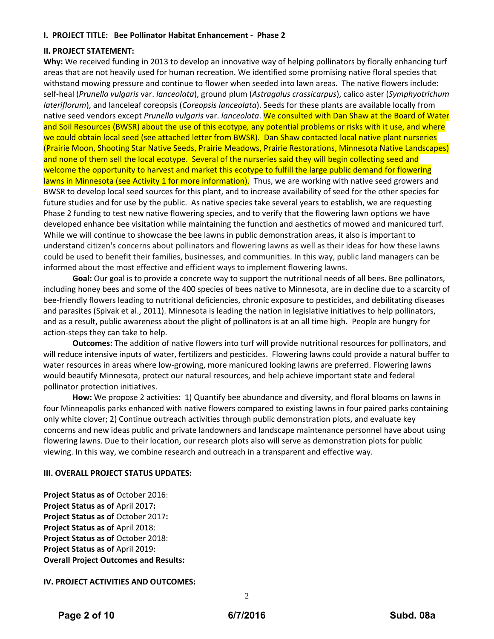#### **I. PROJECT TITLE: Bee Pollinator Habitat Enhancement ‐ Phase 2**

#### **II. PROJECT STATEMENT:**

**Why:** We received funding in 2013 to develop an innovative way of helping pollinators by florally enhancing turf areas that are not heavily used for human recreation. We identified some promising native floral species that withstand mowing pressure and continue to flower when seeded into lawn areas. The native flowers include: self‐heal (*Prunella vulgaris* var. *lanceolata*), ground plum (*Astragalus crassicarpus*), calico aster (*Symphyotrichum lateriflorum*), and lanceleaf coreopsis (*Coreopsis lanceolata*). Seeds for these plants are available locally from native seed vendors except *Prunella vulgaris* var. *lanceolata*. We consulted with Dan Shaw at the Board of Water and Soil Resources (BWSR) about the use of this ecotype*,* any potential problems or risks with it use, and where we could obtain local seed (see attached letter from BWSR). Dan Shaw contacted local native plant nurseries (Prairie Moon, Shooting Star Native Seeds, Prairie Meadows, Prairie Restorations, Minnesota Native Landscapes) and none of them sell the local ecotype. Several of the nurseries said they will begin collecting seed and welcome the opportunity to harvest and market this ecotype to fulfill the large public demand for flowering lawns in Minnesota (see Activity 1 for more information). Thus, we are working with native seed growers and BWSR to develop local seed sources for this plant, and to increase availability of seed for the other species for future studies and for use by the public. As native species take several years to establish, we are requesting Phase 2 funding to test new native flowering species, and to verify that the flowering lawn options we have developed enhance bee visitation while maintaining the function and aesthetics of mowed and manicured turf. While we will continue to showcase the bee lawns in public demonstration areas, it also is important to understand citizen's concerns about pollinators and flowering lawns as well as their ideas for how these lawns could be used to benefit their families, businesses, and communities. In this way, public land managers can be informed about the most effective and efficient ways to implement flowering lawns.

**Goal:** Our goal is to provide a concrete way to support the nutritional needs of all bees. Bee pollinators, including honey bees and some of the 400 species of bees native to Minnesota, are in decline due to a scarcity of bee‐friendly flowers leading to nutritional deficiencies, chronic exposure to pesticides, and debilitating diseases and parasites (Spivak et al., 2011). Minnesota is leading the nation in legislative initiatives to help pollinators, and as a result, public awareness about the plight of pollinators is at an all time high. People are hungry for action‐steps they can take to help.

**Outcomes:** The addition of native flowers into turf will provide nutritional resources for pollinators, and will reduce intensive inputs of water, fertilizers and pesticides. Flowering lawns could provide a natural buffer to water resources in areas where low-growing, more manicured looking lawns are preferred. Flowering lawns would beautify Minnesota, protect our natural resources, and help achieve important state and federal pollinator protection initiatives.

**How:** We propose 2 activities: 1) Quantify bee abundance and diversity, and floral blooms on lawns in four Minneapolis parks enhanced with native flowers compared to existing lawns in four paired parks containing only white clover; 2) Continue outreach activities through public demonstration plots, and evaluate key concerns and new ideas public and private landowners and landscape maintenance personnel have about using flowering lawns. Due to their location, our research plots also will serve as demonstration plots for public viewing. In this way, we combine research and outreach in a transparent and effective way.

#### **III. OVERALL PROJECT STATUS UPDATES:**

**Project Status as of** October 2016: **Project Status as of** April 2017**: Project Status as of** October 2017**: Project Status as of** April 2018: **Project Status as of** October 2018: **Project Status as of** April 2019: **Overall Project Outcomes and Results:**

#### **IV. PROJECT ACTIVITIES AND OUTCOMES:**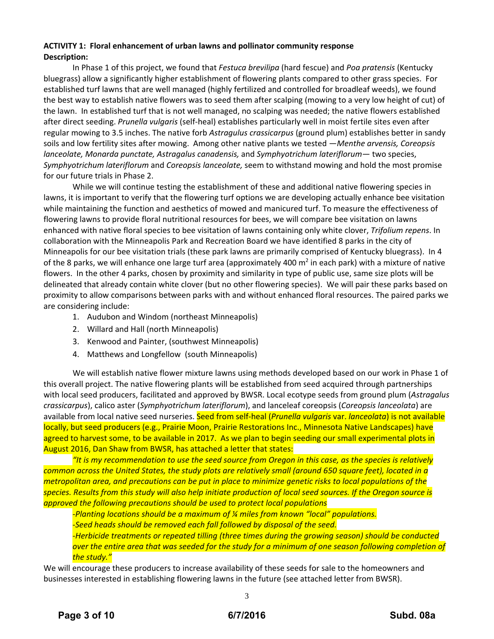#### **ACTIVITY 1: Floral enhancement of urban lawns and pollinator community response Description:**

In Phase 1 of this project, we found that *Festuca brevilipa* (hard fescue) and *Poa pratensis* (Kentucky bluegrass) allow a significantly higher establishment of flowering plants compared to other grass species. For established turf lawns that are well managed (highly fertilized and controlled for broadleaf weeds), we found the best way to establish native flowers was to seed them after scalping (mowing to a very low height of cut) of the lawn. In established turf that is not well managed, no scalping was needed; the native flowers established after direct seeding. *Prunella vulgaris* (self‐heal) establishes particularly well in moist fertile sites even after regular mowing to 3.5 inches. The native forb *Astragulus crassicarpus* (ground plum) establishes better in sandy soils and low fertility sites after mowing. Among other native plants we tested —*Menthe arvensis, Coreopsis lanceolate, Monarda punctate, Astragalus canadensis,* and *Symphyotrichum lateriflorum*— two species, *Symphyotrichum lateriflorum* and *Coreopsis lanceolate,* seem to withstand mowing and hold the most promise for our future trials in Phase 2.

While we will continue testing the establishment of these and additional native flowering species in lawns, it is important to verify that the flowering turf options we are developing actually enhance bee visitation while maintaining the function and aesthetics of mowed and manicured turf. To measure the effectiveness of flowering lawns to provide floral nutritional resources for bees, we will compare bee visitation on lawns enhanced with native floral species to bee visitation of lawns containing only white clover, *Trifolium repens*. In collaboration with the Minneapolis Park and Recreation Board we have identified 8 parks in the city of Minneapolis for our bee visitation trials (these park lawns are primarily comprised of Kentucky bluegrass). In 4 of the 8 parks, we will enhance one large turf area (approximately 400  $m<sup>2</sup>$  in each park) with a mixture of native flowers. In the other 4 parks, chosen by proximity and similarity in type of public use, same size plots will be delineated that already contain white clover (but no other flowering species). We will pair these parks based on proximity to allow comparisons between parks with and without enhanced floral resources. The paired parks we are considering include:

- 1. Audubon and Windom (northeast Minneapolis)
- 2. Willard and Hall (north Minneapolis)
- 3. Kenwood and Painter, (southwest Minneapolis)
- 4. Matthews and Longfellow (south Minneapolis)

We will establish native flower mixture lawns using methods developed based on our work in Phase 1 of this overall project. The native flowering plants will be established from seed acquired through partnerships with local seed producers, facilitated and approved by BWSR. Local ecotype seeds from ground plum (*Astragalus crassicarpus*), calico aster (*Symphyotrichum lateriflorum*), and lanceleaf coreopsis (*Coreopsis lanceolata*) are available from local native seed nurseries. Seed from self‐heal (*Prunella vulgaris* var. *lanceolata*) is not available locally, but seed producers (e.g., Prairie Moon, Prairie Restorations Inc., Minnesota Native Landscapes) have agreed to harvest some, to be available in 2017. As we plan to begin seeding our small experimental plots in August 2016, Dan Shaw from BWSR, has attached a letter that states:

"It is my recommendation to use the seed source from Oregon in this case, as the species is relatively common across the United States, the study plots are relatively small (around 650 square feet), located in a metropolitan area, and precautions can be put in place to minimize genetic risks to local populations of the species. Results from this study will also help initiate production of local seed sources. If the Oregon source is *approved the following precautions should be used to protect local populations* 

*‐Planting locations should be a maximum of ¼ miles from known "local" populations. ‐Seed heads should be removed each fall followed by disposal of the seed. ‐Herbicide treatments or repeated tilling (three times during the growing season) should be conducted* over the entire area that was seeded for the study for a minimum of one season following completion of *the study."*

We will encourage these producers to increase availability of these seeds for sale to the homeowners and businesses interested in establishing flowering lawns in the future (see attached letter from BWSR).

3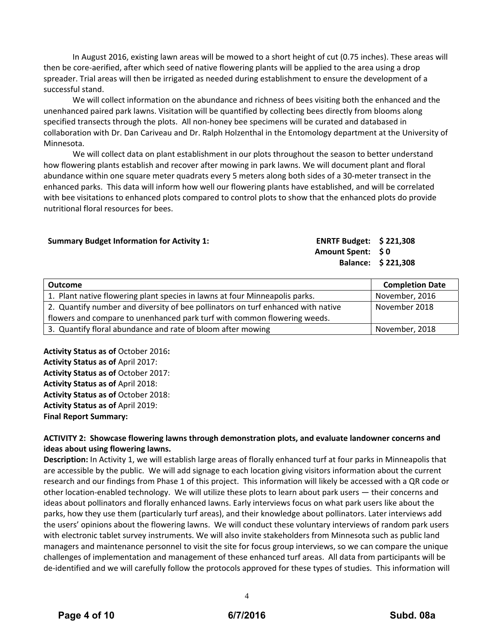In August 2016, existing lawn areas will be mowed to a short height of cut (0.75 inches). These areas will then be core‐aerified, after which seed of native flowering plants will be applied to the area using a drop spreader. Trial areas will then be irrigated as needed during establishment to ensure the development of a successful stand.

We will collect information on the abundance and richness of bees visiting both the enhanced and the unenhanced paired park lawns. Visitation will be quantified by collecting bees directly from blooms along specified transects through the plots. All non-honey bee specimens will be curated and databased in collaboration with Dr. Dan Cariveau and Dr. Ralph Holzenthal in the Entomology department at the University of Minnesota.

We will collect data on plant establishment in our plots throughout the season to better understand how flowering plants establish and recover after mowing in park lawns. We will document plant and floral abundance within one square meter quadrats every 5 meters along both sides of a 30‐meter transect in the enhanced parks. This data will inform how well our flowering plants have established, and will be correlated with bee visitations to enhanced plots compared to control plots to show that the enhanced plots do provide nutritional floral resources for bees.

#### **Summary Budget Information for Activity 1:**

| <b>ENRTF Budget:</b> | \$221,308                                          |
|----------------------|----------------------------------------------------|
| <b>Amount Spent:</b> | $\boldsymbol{\mathsf{S}}\,\boldsymbol{\mathsf{0}}$ |
| <b>Balance:</b>      | \$221,308                                          |

| <b>Outcome</b>                                                                   | <b>Completion Date</b> |
|----------------------------------------------------------------------------------|------------------------|
| 1. Plant native flowering plant species in lawns at four Minneapolis parks.      | November, 2016         |
| 2. Quantify number and diversity of bee pollinators on turf enhanced with native | November 2018          |
| flowers and compare to unenhanced park turf with common flowering weeds.         |                        |
| 3. Quantify floral abundance and rate of bloom after mowing                      | November, 2018         |

**Activity Status as of** October 2016**: Activity Status as of** April 2017: **Activity Status as of** October 2017: **Activity Status as of** April 2018: **Activity Status as of** October 2018: **Activity Status as of** April 2019: **Final Report Summary:**

#### **ACTIVITY 2: Showcase flowering lawns through demonstration plots, and evaluate landowner concerns and ideas about using flowering lawns.**

**Description:** In Activity 1, we will establish large areas of florally enhanced turf at four parks in Minneapolis that are accessible by the public. We will add signage to each location giving visitors information about the current research and our findings from Phase 1 of this project. This information will likely be accessed with a QR code or other location‐enabled technology. We will utilize these plots to learn about park users — their concerns and ideas about pollinators and florally enhanced lawns. Early interviews focus on what park users like about the parks, how they use them (particularly turf areas), and their knowledge about pollinators. Later interviews add the users' opinions about the flowering lawns. We will conduct these voluntary interviews of random park users with electronic tablet survey instruments. We will also invite stakeholders from Minnesota such as public land managers and maintenance personnel to visit the site for focus group interviews, so we can compare the unique challenges of implementation and management of these enhanced turf areas. All data from participants will be de-identified and we will carefully follow the protocols approved for these types of studies. This information will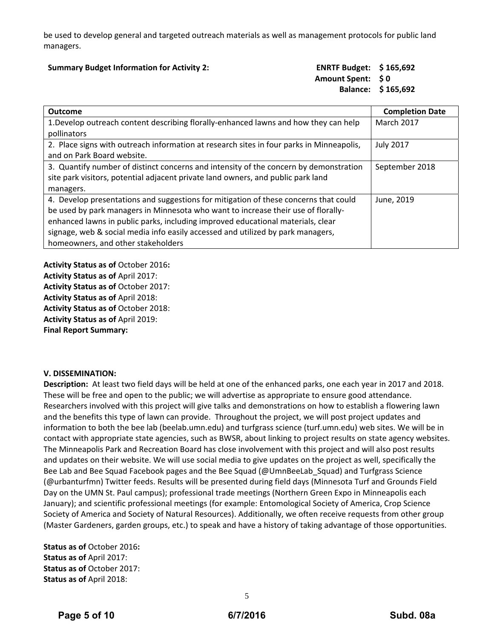be used to develop general and targeted outreach materials as well as management protocols for public land managers.

#### **Summary Budget Information for Activity 2: ENRTF Budget: \$ 165,692**

## **Amount Spent: \$ 0 Balance: \$ 165,692**

| <b>Outcome</b>                                                                           | <b>Completion Date</b> |
|------------------------------------------------------------------------------------------|------------------------|
| 1. Develop outreach content describing florally-enhanced lawns and how they can help     | <b>March 2017</b>      |
| pollinators                                                                              |                        |
| 2. Place signs with outreach information at research sites in four parks in Minneapolis, | <b>July 2017</b>       |
| and on Park Board website.                                                               |                        |
| 3. Quantify number of distinct concerns and intensity of the concern by demonstration    | September 2018         |
| site park visitors, potential adjacent private land owners, and public park land         |                        |
| managers.                                                                                |                        |
| 4. Develop presentations and suggestions for mitigation of these concerns that could     | June, 2019             |
| be used by park managers in Minnesota who want to increase their use of florally-        |                        |
| enhanced lawns in public parks, including improved educational materials, clear          |                        |
| signage, web & social media info easily accessed and utilized by park managers,          |                        |
| homeowners, and other stakeholders                                                       |                        |

**Activity Status as of** October 2016**: Activity Status as of** April 2017: **Activity Status as of** October 2017: **Activity Status as of** April 2018: **Activity Status as of** October 2018: **Activity Status as of** April 2019: **Final Report Summary:**

#### **V. DISSEMINATION:**

**Description:** At least two field days will be held at one of the enhanced parks, one each year in 2017 and 2018. These will be free and open to the public; we will advertise as appropriate to ensure good attendance. Researchers involved with this project will give talks and demonstrations on how to establish a flowering lawn and the benefits this type of lawn can provide. Throughout the project, we will post project updates and information to both the bee lab (beelab.umn.edu) and turfgrass science (turf.umn.edu) web sites. We will be in contact with appropriate state agencies, such as BWSR, about linking to project results on state agency websites. The Minneapolis Park and Recreation Board has close involvement with this project and will also post results and updates on their website. We will use social media to give updates on the project as well, specifically the Bee Lab and Bee Squad Facebook pages and the Bee Squad (@UmnBeeLab\_Squad) and Turfgrass Science (@urbanturfmn) Twitter feeds. Results will be presented during field days (Minnesota Turf and Grounds Field Day on the UMN St. Paul campus); professional trade meetings (Northern Green Expo in Minneapolis each January); and scientific professional meetings (for example: Entomological Society of America, Crop Science Society of America and Society of Natural Resources). Additionally, we often receive requests from other group (Master Gardeners, garden groups, etc.) to speak and have a history of taking advantage of those opportunities.

**Status as of** October 2016**: Status as of** April 2017: **Status as of** October 2017: **Status as of** April 2018: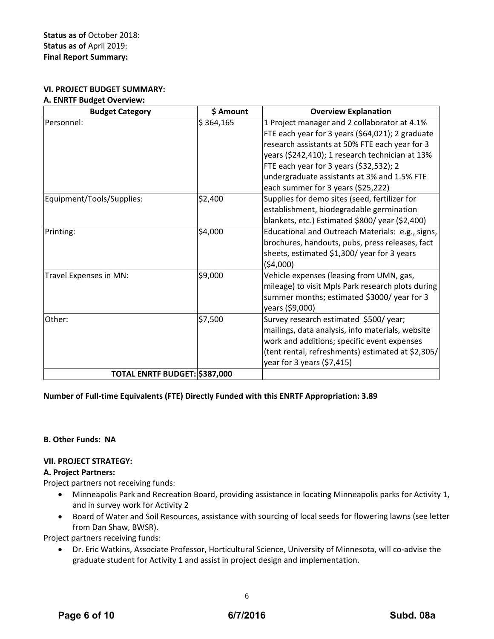#### **VI. PROJECT BUDGET SUMMARY:**

#### **A. ENRTF Budget Overview:**

| <b>Budget Category</b>        | \$ Amount | <b>Overview Explanation</b>                                                                      |
|-------------------------------|-----------|--------------------------------------------------------------------------------------------------|
| Personnel:                    | \$364,165 | 1 Project manager and 2 collaborator at 4.1%<br>FTE each year for 3 years (\$64,021); 2 graduate |
|                               |           | research assistants at 50% FTE each year for 3                                                   |
|                               |           | years (\$242,410); 1 research technician at 13%                                                  |
|                               |           | FTE each year for 3 years (\$32,532); 2                                                          |
|                               |           | undergraduate assistants at 3% and 1.5% FTE                                                      |
|                               |           | each summer for 3 years (\$25,222)                                                               |
| Equipment/Tools/Supplies:     | \$2,400   | Supplies for demo sites (seed, fertilizer for                                                    |
|                               |           | establishment, biodegradable germination                                                         |
|                               |           | blankets, etc.) Estimated \$800/year (\$2,400)                                                   |
| Printing:                     | \$4,000   | Educational and Outreach Materials: e.g., signs,                                                 |
|                               |           | brochures, handouts, pubs, press releases, fact                                                  |
|                               |           | sheets, estimated \$1,300/ year for 3 years                                                      |
|                               |           | (54,000)                                                                                         |
| Travel Expenses in MN:        | \$9,000   | Vehicle expenses (leasing from UMN, gas,                                                         |
|                               |           | mileage) to visit Mpls Park research plots during                                                |
|                               |           | summer months; estimated \$3000/ year for 3                                                      |
|                               |           | years (\$9,000)                                                                                  |
| Other:                        | \$7,500   | Survey research estimated \$500/year;                                                            |
|                               |           | mailings, data analysis, info materials, website                                                 |
|                               |           | work and additions; specific event expenses                                                      |
|                               |           | (tent rental, refreshments) estimated at \$2,305/                                                |
|                               |           | year for 3 years $(57, 415)$                                                                     |
| TOTAL ENRTF BUDGET: \$387,000 |           |                                                                                                  |

#### **Number of Full‐time Equivalents (FTE) Directly Funded with this ENRTF Appropriation: 3.89**

#### **B. Other Funds: NA**

#### **VII. PROJECT STRATEGY:**

#### **A. Project Partners:**

Project partners not receiving funds:

- Minneapolis Park and Recreation Board, providing assistance in locating Minneapolis parks for Activity 1, and in survey work for Activity 2
- Board of Water and Soil Resources, assistance with sourcing of local seeds for flowering lawns (see letter from Dan Shaw, BWSR).

Project partners receiving funds:

 Dr. Eric Watkins, Associate Professor, Horticultural Science, University of Minnesota, will co‐advise the graduate student for Activity 1 and assist in project design and implementation.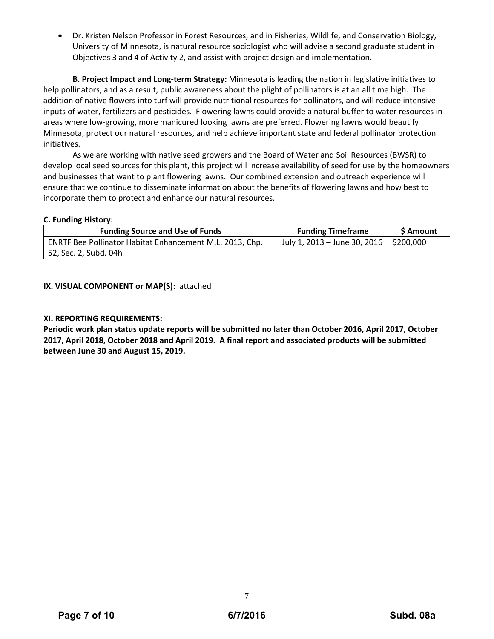Dr. Kristen Nelson Professor in Forest Resources, and in Fisheries, Wildlife, and Conservation Biology, University of Minnesota, is natural resource sociologist who will advise a second graduate student in Objectives 3 and 4 of Activity 2, and assist with project design and implementation.

**B. Project Impact and Long‐term Strategy:** Minnesota is leading the nation in legislative initiatives to help pollinators, and as a result, public awareness about the plight of pollinators is at an all time high. The addition of native flowers into turf will provide nutritional resources for pollinators, and will reduce intensive inputs of water, fertilizers and pesticides. Flowering lawns could provide a natural buffer to water resources in areas where low-growing, more manicured looking lawns are preferred. Flowering lawns would beautify Minnesota, protect our natural resources, and help achieve important state and federal pollinator protection initiatives.

As we are working with native seed growers and the Board of Water and Soil Resources (BWSR) to develop local seed sources for this plant, this project will increase availability of seed for use by the homeowners and businesses that want to plant flowering lawns. Our combined extension and outreach experience will ensure that we continue to disseminate information about the benefits of flowering lawns and how best to incorporate them to protect and enhance our natural resources.

#### **C. Funding History:**

| <b>Funding Source and Use of Funds</b>                   | <b>Funding Timeframe</b>                 | <b>S</b> Amount |
|----------------------------------------------------------|------------------------------------------|-----------------|
| ENRTF Bee Pollinator Habitat Enhancement M.L. 2013, Chp. | July 1, 2013 – June 30, 2016   \$200,000 |                 |
| 52, Sec. 2, Subd. 04h                                    |                                          |                 |

#### **IX. VISUAL COMPONENT or MAP(S):** attached

#### **XI. REPORTING REQUIREMENTS:**

Periodic work plan status update reports will be submitted no later than October 2016, April 2017, October 2017, April 2018, October 2018 and April 2019. A final report and associated products will be submitted **between June 30 and August 15, 2019.**

7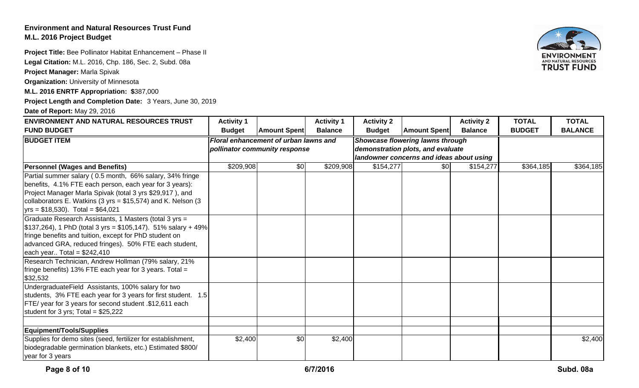## **Environment and Natural Resources Trust FundM.L. 2016 Project Budget**

**Project Title:** Bee Pollinator Habitat Enhancement – Phase II

**Legal Citation:** M.L. 2016, Chp. 186, Sec. 2, Subd. 08a

**Project Manager:** Marla Spivak

**Organization:** University of Minnesota

**M.L. 2016 ENRTF Appropriation: \$**387,000

**Project Length and Completion Date:** 3 Years, June 30, 2019

**Date of Report:** May 29, 2016

| <b>ENVIRONMENT AND NATURAL RESOURCES TRUST</b>                                                                      | <b>Activity 1</b> |                                                                    | <b>Activity 1</b> | <b>Activity 2</b>                |                                          | <b>Activity 2</b> | <b>TOTAL</b>  | <b>TOTAL</b>   |
|---------------------------------------------------------------------------------------------------------------------|-------------------|--------------------------------------------------------------------|-------------------|----------------------------------|------------------------------------------|-------------------|---------------|----------------|
| <b>FUND BUDGET</b>                                                                                                  | <b>Budget</b>     | <b>Amount Spent</b>                                                | <b>Balance</b>    | <b>Budget</b>                    | <b>Amount Spent</b>                      | <b>Balance</b>    | <b>BUDGET</b> | <b>BALANCE</b> |
| <b>BUDGET ITEM</b>                                                                                                  |                   | Floral enhancement of urban lawns and                              |                   | Showcase flowering lawns through |                                          |                   |               |                |
|                                                                                                                     |                   | demonstration plots, and evaluate<br>pollinator community response |                   |                                  |                                          |                   |               |                |
|                                                                                                                     |                   |                                                                    |                   |                                  | landowner concerns and ideas about using |                   |               |                |
| <b>Personnel (Wages and Benefits)</b>                                                                               | \$209,908         | \$0                                                                | \$209,908         | \$154,277                        | \$0                                      | \$154,277         | \$364,185     | \$364,185      |
| Partial summer salary (0.5 month, 66% salary, 34% fringe<br>benefits, 4.1% FTE each person, each year for 3 years): |                   |                                                                    |                   |                                  |                                          |                   |               |                |
| Project Manager Marla Spivak (total 3 yrs \$29,917), and                                                            |                   |                                                                    |                   |                                  |                                          |                   |               |                |
| collaborators E. Watkins (3 yrs = \$15,574) and K. Nelson (3                                                        |                   |                                                                    |                   |                                  |                                          |                   |               |                |
| $yrs = $18,530$ . Total = \$64,021                                                                                  |                   |                                                                    |                   |                                  |                                          |                   |               |                |
| Graduate Research Assistants, 1 Masters (total 3 yrs =                                                              |                   |                                                                    |                   |                                  |                                          |                   |               |                |
| $\mid $137,264$ , 1 PhD (total 3 yrs = \$105,147). 51% salary + 49%                                                 |                   |                                                                    |                   |                                  |                                          |                   |               |                |
| fringe benefits and tuition, except for PhD student on                                                              |                   |                                                                    |                   |                                  |                                          |                   |               |                |
| advanced GRA, reduced fringes). 50% FTE each student,                                                               |                   |                                                                    |                   |                                  |                                          |                   |               |                |
| each year Total = $$242,410$                                                                                        |                   |                                                                    |                   |                                  |                                          |                   |               |                |
| Research Technician, Andrew Hollman (79% salary, 21%<br>fringe benefits) 13% FTE each year for 3 years. Total =     |                   |                                                                    |                   |                                  |                                          |                   |               |                |
| \$32,532                                                                                                            |                   |                                                                    |                   |                                  |                                          |                   |               |                |
| UndergraduateField Assistants, 100% salary for two                                                                  |                   |                                                                    |                   |                                  |                                          |                   |               |                |
| students, 3% FTE each year for 3 years for first student. 1.5                                                       |                   |                                                                    |                   |                                  |                                          |                   |               |                |
| FTE/ year for 3 years for second student .\$12,611 each                                                             |                   |                                                                    |                   |                                  |                                          |                   |               |                |
| student for 3 yrs; Total = $$25,222$                                                                                |                   |                                                                    |                   |                                  |                                          |                   |               |                |
| Equipment/Tools/Supplies                                                                                            |                   |                                                                    |                   |                                  |                                          |                   |               |                |
| Supplies for demo sites (seed, fertilizer for establishment,                                                        | \$2,400           | \$0                                                                | \$2,400           |                                  |                                          |                   |               | \$2,400        |
| biodegradable germination blankets, etc.) Estimated \$800/<br>year for 3 years                                      |                   |                                                                    |                   |                                  |                                          |                   |               |                |

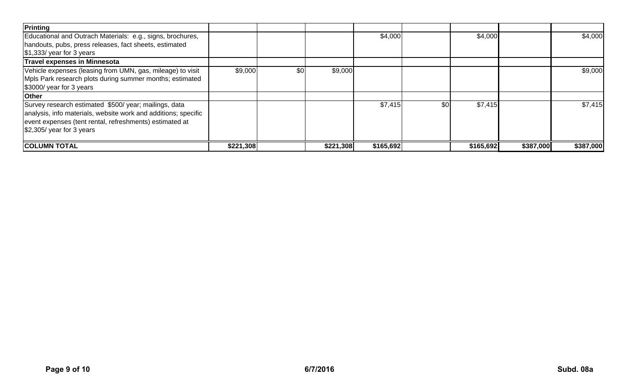| Printing                                                       |           |     |           |           |     |           |           |           |
|----------------------------------------------------------------|-----------|-----|-----------|-----------|-----|-----------|-----------|-----------|
| Educational and Outrach Materials: e.g., signs, brochures,     |           |     |           | \$4,000   |     | \$4,000   |           | \$4,000   |
| handouts, pubs, press releases, fact sheets, estimated         |           |     |           |           |     |           |           |           |
| $\frac{1}{3}$ , 333/ year for 3 years                          |           |     |           |           |     |           |           |           |
| <b>Travel expenses in Minnesota</b>                            |           |     |           |           |     |           |           |           |
| Vehicle expenses (leasing from UMN, gas, mileage) to visit     | \$9,000   | \$0 | \$9,000   |           |     |           |           | \$9,000   |
| Mpls Park research plots during summer months; estimated       |           |     |           |           |     |           |           |           |
| \$3000/ year for 3 years                                       |           |     |           |           |     |           |           |           |
| <b>Other</b>                                                   |           |     |           |           |     |           |           |           |
| Survey research estimated \$500/ year; mailings, data          |           |     |           | \$7,415   | \$0 | \$7,415   |           | \$7,415   |
| analysis, info materials, website work and additions; specific |           |     |           |           |     |           |           |           |
| event expenses (tent rental, refreshments) estimated at        |           |     |           |           |     |           |           |           |
| $$2,305/$ year for 3 years                                     |           |     |           |           |     |           |           |           |
|                                                                |           |     |           |           |     |           |           |           |
| <b>COLUMN TOTAL</b>                                            | \$221,308 |     | \$221,308 | \$165,692 |     | \$165,692 | \$387,000 | \$387,000 |